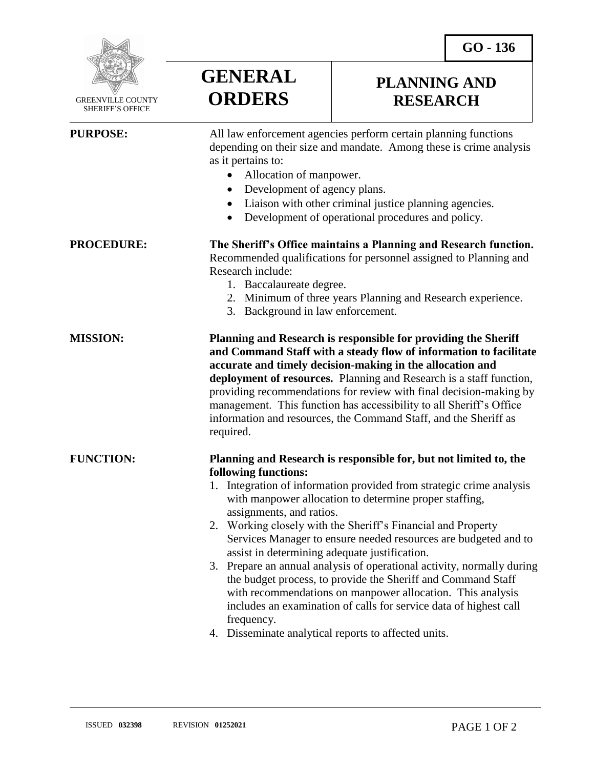**GO - 136** 

**PLANNING AND RESEARCH**



 GREENVILLE COUNTY SHERIFF'S OFFICE

| <b>PURPOSE:</b>   | All law enforcement agencies perform certain planning functions<br>depending on their size and mandate. Among these is crime analysis<br>as it pertains to:<br>Allocation of manpower.<br>Development of agency plans.<br>$\bullet$<br>Liaison with other criminal justice planning agencies.<br>$\bullet$<br>Development of operational procedures and policy.                                                                                                                                                                                                                                                                                                                                                                                                                                |
|-------------------|------------------------------------------------------------------------------------------------------------------------------------------------------------------------------------------------------------------------------------------------------------------------------------------------------------------------------------------------------------------------------------------------------------------------------------------------------------------------------------------------------------------------------------------------------------------------------------------------------------------------------------------------------------------------------------------------------------------------------------------------------------------------------------------------|
| <b>PROCEDURE:</b> | The Sheriff's Office maintains a Planning and Research function.<br>Recommended qualifications for personnel assigned to Planning and<br>Research include:<br>1. Baccalaureate degree.<br>2. Minimum of three years Planning and Research experience.<br>3. Background in law enforcement.                                                                                                                                                                                                                                                                                                                                                                                                                                                                                                     |
| <b>MISSION:</b>   | Planning and Research is responsible for providing the Sheriff<br>and Command Staff with a steady flow of information to facilitate<br>accurate and timely decision-making in the allocation and<br>deployment of resources. Planning and Research is a staff function,<br>providing recommendations for review with final decision-making by<br>management. This function has accessibility to all Sheriff's Office<br>information and resources, the Command Staff, and the Sheriff as<br>required.                                                                                                                                                                                                                                                                                          |
| <b>FUNCTION:</b>  | Planning and Research is responsible for, but not limited to, the<br>following functions:<br>1. Integration of information provided from strategic crime analysis<br>with manpower allocation to determine proper staffing,<br>assignments, and ratios.<br>2. Working closely with the Sheriff's Financial and Property<br>Services Manager to ensure needed resources are budgeted and to<br>assist in determining adequate justification.<br>3. Prepare an annual analysis of operational activity, normally during<br>the budget process, to provide the Sheriff and Command Staff<br>with recommendations on manpower allocation. This analysis<br>includes an examination of calls for service data of highest call<br>frequency.<br>4. Disseminate analytical reports to affected units. |

**GENERAL**

**ORDERS**